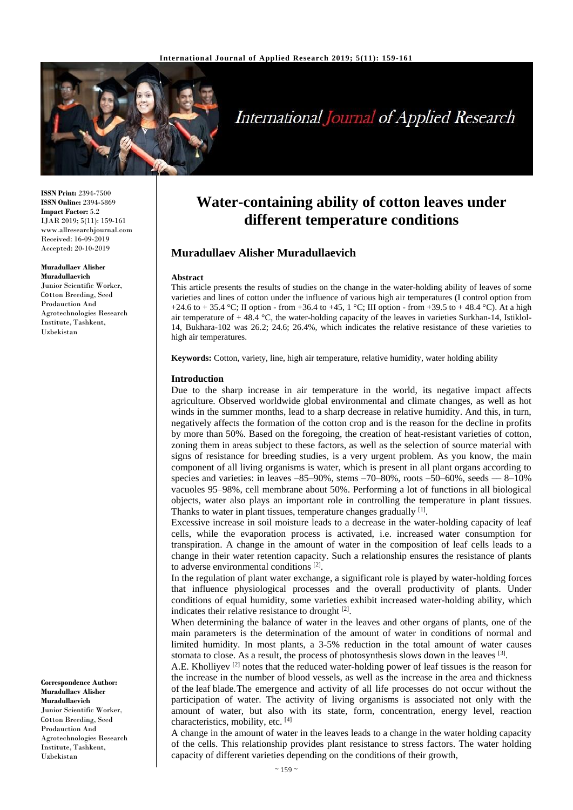

# **International Journal of Applied Research**

**ISSN Print:** 2394-7500 **ISSN Online:** 2394-5869 **Impact Factor:** 5.2 IJAR 2019; 5(11): 159-161 www.allresearchjournal.com Received: 16-09-2019 Accepted: 20-10-2019

# **Muradullaev Alisher**

**Muradullaevich** Junior Scientific Worker, Соtton Breeding, Seed Prodauction And Agrotechnologies Research Institute, Tashkent, Uzbekistan

**Correspondence Author: Muradullaev Alisher Muradullaevich** Junior Scientific Worker, Соtton Breeding, Seed Prodauction And Agrotechnologies Research Institute, Tashkent, Uzbekistan

# **Water-containing ability of cotton leaves under different temperature conditions**

# **Muradullaev Alisher Muradullaevich**

#### **Abstract**

This article presents the results of studies on the change in the water-holding ability of leaves of some varieties and lines of cotton under the influence of various high air temperatures (I control option from +24.6 to + 35.4 °C; II option - from +36.4 to +45, 1 °C; III option - from +39.5 to + 48.4 °C). At a high air temperature of  $+ 48.4 \degree C$ , the water-holding capacity of the leaves in varieties Surkhan-14, Istiklol-14, Bukhara-102 was 26.2; 24.6; 26.4%, which indicates the relative resistance of these varieties to high air temperatures.

**Keywords:** Cotton, variety, line, high air temperature, relative humidity, water holding ability

#### **Introduction**

Due to the sharp increase in air temperature in the world, its negative impact affects agriculture. Observed worldwide global environmental and climate changes, as well as hot winds in the summer months, lead to a sharp decrease in relative humidity. And this, in turn, negatively affects the formation of the cotton crop and is the reason for the decline in profits by more than 50%. Based on the foregoing, the creation of heat-resistant varieties of cotton, zoning them in areas subject to these factors, as well as the selection of source material with signs of resistance for breeding studies, is a very urgent problem. As you know, the main component of all living organisms is water, which is present in all plant organs according to species and varieties: in leaves  $-85-90\%$ , stems  $-70-80\%$ , roots  $-50-60\%$ , seeds  $-8-10\%$ vacuoles 95–98%, cell membrane about 50%. Performing a lot of functions in all biological objects, water also plays an important role in controlling the temperature in plant tissues. Thanks to water in plant tissues, temperature changes gradually [1].

Excessive increase in soil moisture leads to a decrease in the water-holding capacity of leaf cells, while the evaporation process is activated, i.e. increased water consumption for transpiration. A change in the amount of water in the composition of leaf cells leads to a change in their water retention capacity. Such a relationship ensures the resistance of plants to adverse environmental conditions<sup>[2]</sup>.

In the regulation of plant water exchange, a significant role is played by water-holding forces that influence physiological processes and the overall productivity of plants. Under conditions of equal humidity, some varieties exhibit increased water-holding ability, which indicates their relative resistance to drought  $[2]$ .

When determining the balance of water in the leaves and other organs of plants, one of the main parameters is the determination of the amount of water in conditions of normal and limited humidity. In most plants, a 3-5% reduction in the total amount of water causes stomata to close. As a result, the process of photosynthesis slows down in the leaves [3].

A.E. Kholliyev [2] notes that the reduced water-holding power of leaf tissues is the reason for the increase in the number of blood vessels, as well as the increase in the area and thickness of the leaf blade.The emergence and activity of all life processes do not occur without the participation of water. The activity of living organisms is associated not only with the amount of water, but also with its state, form, concentration, energy level, reaction characteristics, mobility, etc. [4]

A change in the amount of water in the leaves leads to a change in the water holding capacity of the cells. This relationship provides plant resistance to stress factors. The water holding capacity of different varieties depending on the conditions of their growth,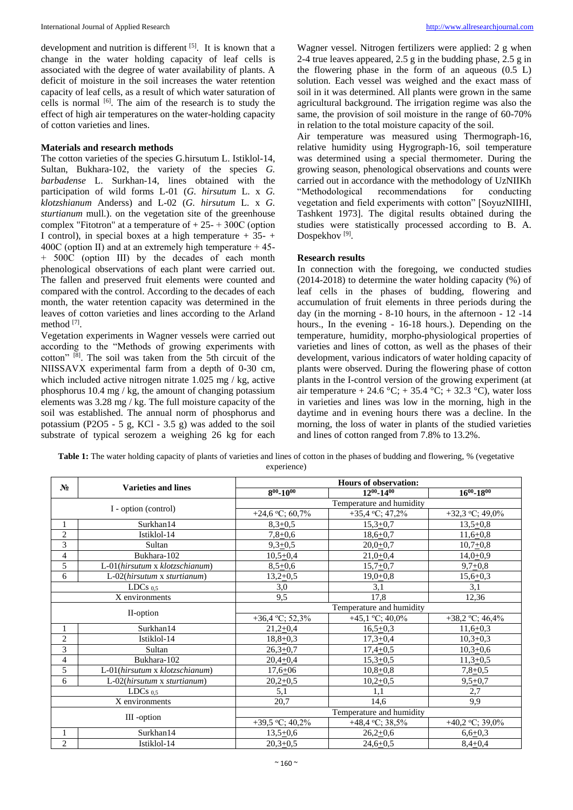development and nutrition is different [5]. It is known that a change in the water holding capacity of leaf cells is associated with the degree of water availability of plants. A deficit of moisture in the soil increases the water retention capacity of leaf cells, as a result of which water saturation of cells is normal [6]. The aim of the research is to study the effect of high air temperatures on the water-holding capacity of cotton varieties and lines.

# **Materials and research methods**

The cotton varieties of the species G.hirsutum L. Istiklol-14, Sultan, Bukhara-102, the variety of the species *G. barbadense* L. Surkhan-14, lines obtained with the participation of wild forms L-01 (*G. hirsutum* L. x *G. klotzshianum* Anderss) and L-02 (*G. hirsutum* L. x *G. sturtianum* mull.). on the vegetation site of the greenhouse complex "Fitotron" at a temperature of  $+25-+300C$  (option I control), in special boxes at a high temperature  $+35-$ 400C (option II) and at an extremely high temperature  $+45$ -+ 500С (option III) by the decades of each month phenological observations of each plant were carried out. The fallen and preserved fruit elements were counted and compared with the control. According to the decades of each month, the water retention capacity was determined in the leaves of cotton varieties and lines according to the Arland method [7] .

Vegetation experiments in Wagner vessels were carried out according to the "Methods of growing experiments with cotton" [8]. The soil was taken from the 5th circuit of the NIISSAVX experimental farm from a depth of 0-30 cm, which included active nitrogen nitrate 1.025 mg / kg, active phosphorus 10.4 mg / kg, the amount of changing potassium elements was 3.28 mg / kg. The full moisture capacity of the soil was established. The annual norm of phosphorus and potassium (P2O5 - 5 g, KCl - 3.5 g) was added to the soil substrate of typical serozem a weighing 26 kg for each

Wagner vessel. Nitrogen fertilizers were applied: 2 g when 2-4 true leaves appeared, 2.5 g in the budding phase, 2.5 g in the flowering phase in the form of an aqueous  $(0.5 \text{ L})$ solution. Each vessel was weighed and the exact mass of soil in it was determined. All plants were grown in the same agricultural background. The irrigation regime was also the same, the provision of soil moisture in the range of 60-70% in relation to the total moisture capacity of the soil.

Air temperature was measured using Thermograph-16, relative humidity using Hygrograph-16, soil temperature was determined using a special thermometer. During the growing season, phenological observations and counts were carried out in accordance with the methodology of UzNIIKh "Methodological recommendations for conducting vegetation and field experiments with cotton" [SoyuzNIIHI, Tashkent 1973]. The digital results obtained during the studies were statistically processed according to B. A. Dospekhov<sup>[9]</sup>.

# **Research results**

In connection with the foregoing, we conducted studies (2014-2018) to determine the water holding capacity (%) of leaf cells in the phases of budding, flowering and accumulation of fruit elements in three periods during the day (in the morning - 8-10 hours, in the afternoon - 12 -14 hours., In the evening - 16-18 hours.). Depending on the temperature, humidity, morpho-physiological properties of varieties and lines of cotton, as well as the phases of their development, various indicators of water holding capacity of plants were observed. During the flowering phase of cotton plants in the I-control version of the growing experiment (at air temperature + 24.6 °C; + 35.4 °C; + 32.3 °C), water loss in varieties and lines was low in the morning, high in the daytime and in evening hours there was a decline. In the morning, the loss of water in plants of the studied varieties and lines of cotton ranged from 7.8% to 13.2%.

| <b>Table 1:</b> The water holding capacity of plants of varieties and lines of cotton in the phases of budding and flowering, % (vegetative |  |
|---------------------------------------------------------------------------------------------------------------------------------------------|--|
| experience)                                                                                                                                 |  |

| N <sub>2</sub>       | <b>Varieties and lines</b>     | <b>Hours of observation:</b> |                             |                             |  |
|----------------------|--------------------------------|------------------------------|-----------------------------|-----------------------------|--|
|                      |                                | $8^{00} - 10^{00}$           | $12^{00} - 14^{00}$         | $16^{00} - 18^{00}$         |  |
| I - option (control) |                                | Temperature and humidity     |                             |                             |  |
|                      |                                | +24,6 °C; 60,7%              | +35,4 °C; 47,2%             | +32,3 $\,^{\circ}$ C; 49,0% |  |
| 1                    | Surkhan14                      | $8,3+0,5$                    | $15,3+0,7$                  | $13,5+0,8$                  |  |
| $\overline{c}$       | Istiklol-14                    | $7,8+0,6$                    | $18,6+0,7$                  | $11,6+0,8$                  |  |
| 3                    | Sultan                         | $9,3+0,5$                    | $20,0+0,7$                  | $10,7+0,8$                  |  |
| 4                    | Bukhara-102                    | $10,5+0,4$                   | $21,0+0,4$                  | $14,0+0,9$                  |  |
| 5                    | L-01(hirsutum x klotzschianum) | $8,5+0,6$                    | $15,7+0,7$                  | $9,7+0,8$                   |  |
| 6                    | L-02(hirsutum x sturtianum)    | $13,2+0,5$                   | $19,0+0,8$                  | $15,6+0,3$                  |  |
| LDCs $_{0.5}$        |                                | 3,0                          | 3,1                         | 3,1                         |  |
| X environments       |                                | 9,5                          | 17,8                        | 12,36                       |  |
| II-option            |                                | Temperature and humidity     |                             |                             |  |
|                      |                                | +36,4 °C; 52,3%              | +45,1 $\,^{\circ}$ C; 40,0% | +38,2 °C; 46,4%             |  |
|                      | Surkhan14                      | $21,2+0,4$                   | $16,5+0,3$                  | $11,6+0,3$                  |  |
| $\overline{c}$       | Istiklol-14                    | $18,8+0,3$                   | $17,3+0,4$                  | $10,3+0,3$                  |  |
| 3                    | Sultan                         | $26,3+0,7$                   | $17,4+0,5$                  | $10,3+0,6$                  |  |
| 4                    | Bukhara-102                    | $20,4+0,4$                   | $15,3+0,5$                  | $11,3+0,5$                  |  |
| 5                    | L-01(hirsutum x klotzschianum) | $17,6+06$                    | $10,8+0,8$                  | $7,8+0,5$                   |  |
| 6                    | L-02(hirsutum x sturtianum)    | $20,2+0,5$                   | $10,2+0,5$                  | $9,5+0,7$                   |  |
|                      | LDCs $0.5$                     | 5,1                          | 1,1                         | 2,7                         |  |
|                      | X environments                 | 20,7                         | 14,6                        | 9,9                         |  |
| III -option          |                                |                              | Temperature and humidity    |                             |  |
|                      |                                | +39,5 °C; 40,2%              | +48,4 °C; 38,5%             | +40,2 °C; 39,0%             |  |
| 1                    | Surkhan14                      | $13,5+0,6$                   | $26,2+0,6$                  | $6,6+0,3$                   |  |
| $\overline{c}$       | Istiklol-14                    | $20,3+0,5$                   | $24,6+0,5$                  | $8,4+0,4$                   |  |